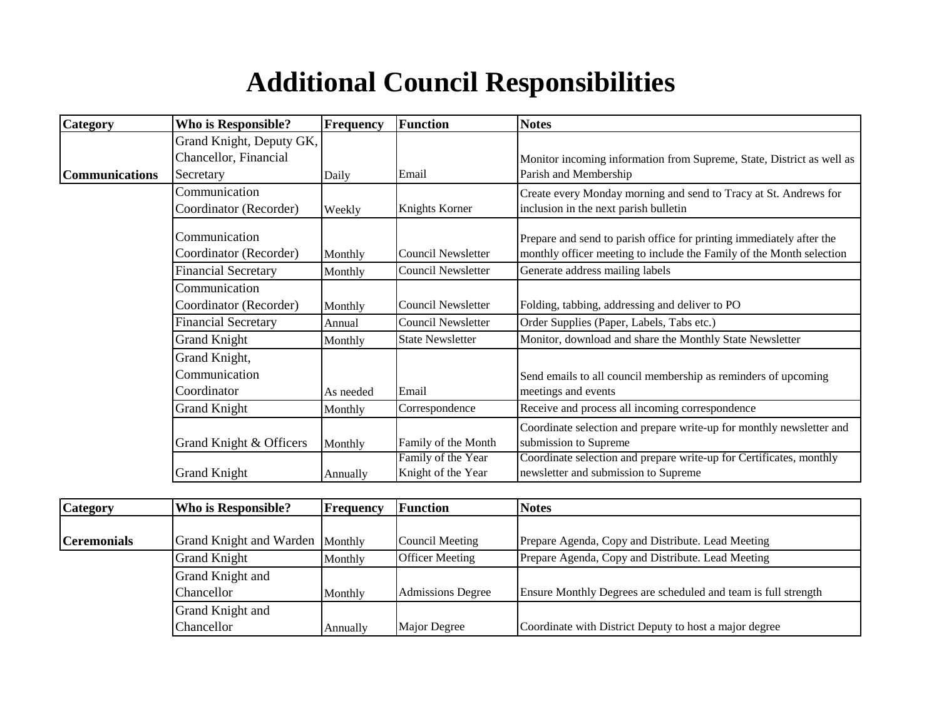## **Additional Council Responsibilities**

| Category              | Who is Responsible?        | <b>Frequency</b> | <b>Function</b>           | <b>Notes</b>                                                          |
|-----------------------|----------------------------|------------------|---------------------------|-----------------------------------------------------------------------|
|                       | Grand Knight, Deputy GK,   |                  |                           |                                                                       |
|                       | Chancellor, Financial      |                  |                           | Monitor incoming information from Supreme, State, District as well as |
| <b>Communications</b> | Secretary                  | Daily            | Email                     | Parish and Membership                                                 |
|                       | Communication              |                  |                           | Create every Monday morning and send to Tracy at St. Andrews for      |
|                       | Coordinator (Recorder)     | Weekly           | Knights Korner            | inclusion in the next parish bulletin                                 |
|                       | Communication              |                  |                           | Prepare and send to parish office for printing immediately after the  |
|                       | Coordinator (Recorder)     | Monthly          | <b>Council Newsletter</b> | monthly officer meeting to include the Family of the Month selection  |
|                       | <b>Financial Secretary</b> | Monthly          | <b>Council Newsletter</b> | Generate address mailing labels                                       |
|                       | Communication              |                  |                           |                                                                       |
|                       | Coordinator (Recorder)     | Monthly          | <b>Council Newsletter</b> | Folding, tabbing, addressing and deliver to PO                        |
|                       | <b>Financial Secretary</b> | Annual           | <b>Council Newsletter</b> | Order Supplies (Paper, Labels, Tabs etc.)                             |
|                       | <b>Grand Knight</b>        | Monthly          | <b>State Newsletter</b>   | Monitor, download and share the Monthly State Newsletter              |
|                       | Grand Knight,              |                  |                           |                                                                       |
|                       | Communication              |                  |                           | Send emails to all council membership as reminders of upcoming        |
|                       | Coordinator                | As needed        | Email                     | meetings and events                                                   |
|                       | <b>Grand Knight</b>        | Monthly          | Correspondence            | Receive and process all incoming correspondence                       |
|                       |                            |                  |                           | Coordinate selection and prepare write-up for monthly newsletter and  |
|                       | Grand Knight & Officers    | Monthly          | Family of the Month       | submission to Supreme                                                 |
|                       |                            |                  | Family of the Year        | Coordinate selection and prepare write-up for Certificates, monthly   |
|                       | <b>Grand Knight</b>        | Annually         | Knight of the Year        | newsletter and submission to Supreme                                  |

| <b>Category</b>    | Who is Responsible?             | <b>Frequency</b> | <b>Function</b>          | <b>Notes</b>                                                   |
|--------------------|---------------------------------|------------------|--------------------------|----------------------------------------------------------------|
|                    |                                 |                  |                          |                                                                |
| <b>Ceremonials</b> | Grand Knight and Warden Monthly |                  | Council Meeting          | Prepare Agenda, Copy and Distribute. Lead Meeting              |
|                    | <b>Grand Knight</b>             | Monthly          | <b>Officer Meeting</b>   | Prepare Agenda, Copy and Distribute. Lead Meeting              |
|                    | Grand Knight and                |                  |                          |                                                                |
|                    | <b>Chancellor</b>               | Monthly          | <b>Admissions Degree</b> | Ensure Monthly Degrees are scheduled and team is full strength |
|                    | Grand Knight and                |                  |                          |                                                                |
|                    | Chancellor                      | Annually         | Major Degree             | Coordinate with District Deputy to host a major degree         |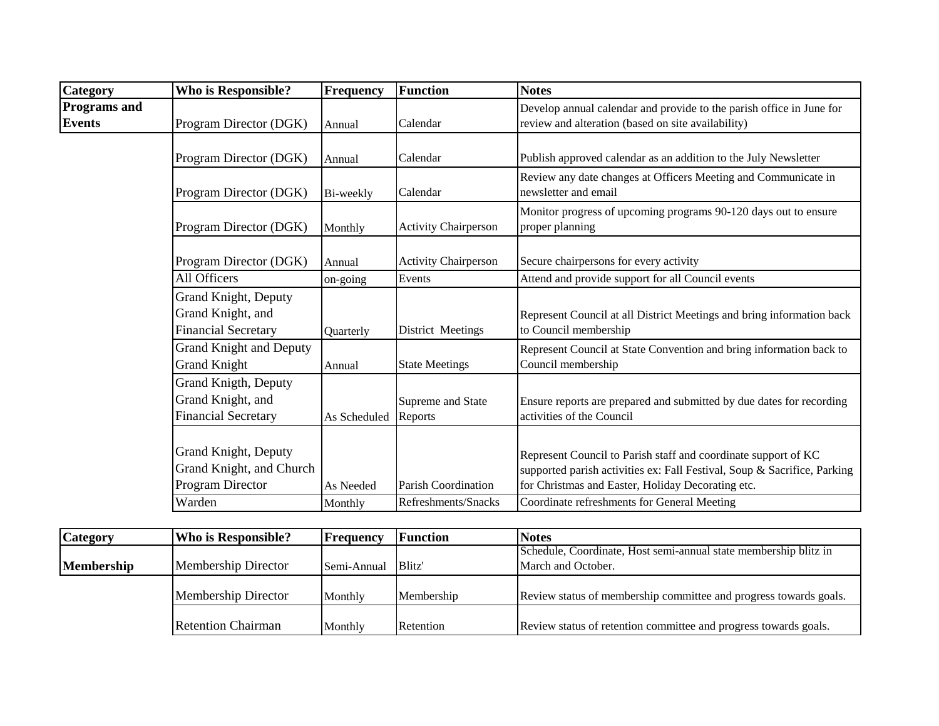| Category                             | <b>Who is Responsible?</b>                                              | <b>Frequency</b> | <b>Function</b>              | <b>Notes</b>                                                                                                                                                                                    |
|--------------------------------------|-------------------------------------------------------------------------|------------------|------------------------------|-------------------------------------------------------------------------------------------------------------------------------------------------------------------------------------------------|
| <b>Programs and</b><br><b>Events</b> | Program Director (DGK)                                                  | Annual           | Calendar                     | Develop annual calendar and provide to the parish office in June for<br>review and alteration (based on site availability)                                                                      |
|                                      | Program Director (DGK)                                                  | Annual           | Calendar                     | Publish approved calendar as an addition to the July Newsletter                                                                                                                                 |
|                                      | Program Director (DGK)                                                  | Bi-weekly        | Calendar                     | Review any date changes at Officers Meeting and Communicate in<br>newsletter and email                                                                                                          |
|                                      | Program Director (DGK)                                                  | Monthly          | <b>Activity Chairperson</b>  | Monitor progress of upcoming programs 90-120 days out to ensure<br>proper planning                                                                                                              |
|                                      | Program Director (DGK)                                                  | Annual           | <b>Activity Chairperson</b>  | Secure chairpersons for every activity                                                                                                                                                          |
|                                      | All Officers                                                            | on-going         | Events                       | Attend and provide support for all Council events                                                                                                                                               |
|                                      | Grand Knight, Deputy<br>Grand Knight, and<br><b>Financial Secretary</b> | Quarterly        | District Meetings            | Represent Council at all District Meetings and bring information back<br>to Council membership                                                                                                  |
|                                      | <b>Grand Knight and Deputy</b><br><b>Grand Knight</b>                   | Annual           | <b>State Meetings</b>        | Represent Council at State Convention and bring information back to<br>Council membership                                                                                                       |
|                                      | Grand Knigth, Deputy<br>Grand Knight, and<br><b>Financial Secretary</b> | As Scheduled     | Supreme and State<br>Reports | Ensure reports are prepared and submitted by due dates for recording<br>activities of the Council                                                                                               |
|                                      | Grand Knight, Deputy<br>Grand Knight, and Church<br>Program Director    | As Needed        | <b>Parish Coordination</b>   | Represent Council to Parish staff and coordinate support of KC<br>supported parish activities ex: Fall Festival, Soup & Sacrifice, Parking<br>for Christmas and Easter, Holiday Decorating etc. |
|                                      | Warden                                                                  | Monthly          | Refreshments/Snacks          | Coordinate refreshments for General Meeting                                                                                                                                                     |

| <b>Category</b>   | <b>Who is Responsible?</b> | Frequency   | <b>Function</b>    | <b>Notes</b>                                                      |
|-------------------|----------------------------|-------------|--------------------|-------------------------------------------------------------------|
|                   |                            |             |                    | Schedule, Coordinate, Host semi-annual state membership blitz in  |
| <b>Membership</b> | Membership Director        | Semi-Annual | Blitz <sup>'</sup> | March and October.                                                |
|                   | <b>Membership Director</b> | Monthly     | Membership         | Review status of membership committee and progress towards goals. |
|                   | <b>Retention Chairman</b>  | Monthly     | Retention          | Review status of retention committee and progress towards goals.  |